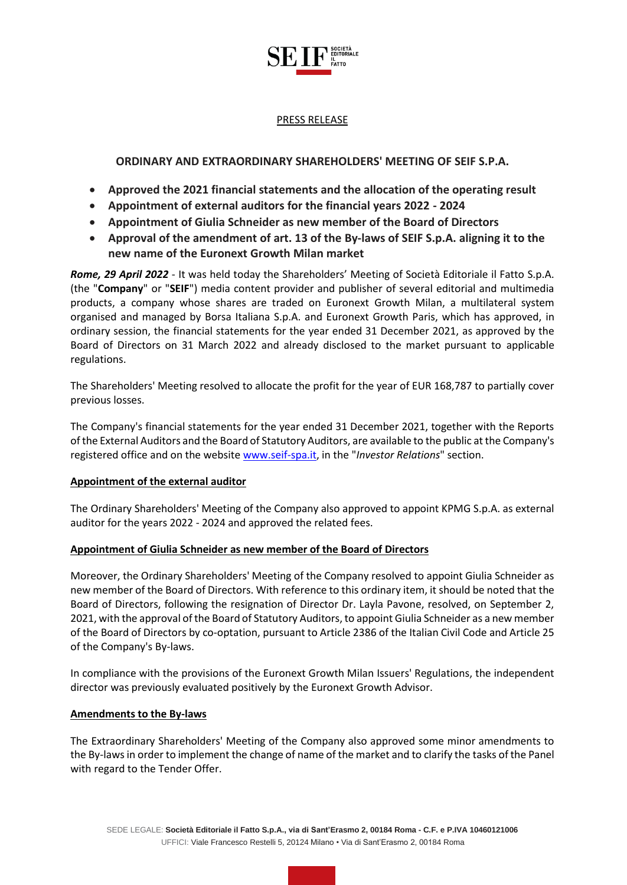

## PRESS RELEASE

# **ORDINARY AND EXTRAORDINARY SHAREHOLDERS' MEETING OF SEIF S.P.A.**

- **Approved the 2021 financial statements and the allocation of the operating result**
- **Appointment of external auditors for the financial years 2022 - 2024**
- **Appointment of Giulia Schneider as new member of the Board of Directors**
- **Approval of the amendment of art. 13 of the By-laws of SEIF S.p.A. aligning it to the new name of the Euronext Growth Milan market**

*Rome, 29 April 2022* - It was held today the Shareholders' Meeting of Società Editoriale il Fatto S.p.A. (the "**Company**" or "**SEIF**") media content provider and publisher of several editorial and multimedia products, a company whose shares are traded on Euronext Growth Milan, a multilateral system organised and managed by Borsa Italiana S.p.A. and Euronext Growth Paris, which has approved, in ordinary session, the financial statements for the year ended 31 December 2021, as approved by the Board of Directors on 31 March 2022 and already disclosed to the market pursuant to applicable regulations.

The Shareholders' Meeting resolved to allocate the profit for the year of EUR 168,787 to partially cover previous losses.

The Company's financial statements for the year ended 31 December 2021, together with the Reports of the External Auditors and the Board of Statutory Auditors, are available to the public at the Company's registered office and on the website [www.seif-spa.it,](http://www.seif-spa.it/) in the "*Investor Relations*" section.

### **Appointment of the external auditor**

The Ordinary Shareholders' Meeting of the Company also approved to appoint KPMG S.p.A. as external auditor for the years 2022 - 2024 and approved the related fees.

### **Appointment of Giulia Schneider as new member of the Board of Directors**

Moreover, the Ordinary Shareholders' Meeting of the Company resolved to appoint Giulia Schneider as new member of the Board of Directors. With reference to this ordinary item, it should be noted that the Board of Directors, following the resignation of Director Dr. Layla Pavone, resolved, on September 2, 2021, with the approval of the Board of Statutory Auditors, to appoint Giulia Schneider as a new member of the Board of Directors by co-optation, pursuant to Article 2386 of the Italian Civil Code and Article 25 of the Company's By-laws.

In compliance with the provisions of the Euronext Growth Milan Issuers' Regulations, the independent director was previously evaluated positively by the Euronext Growth Advisor.

### **Amendments to the By-laws**

The Extraordinary Shareholders' Meeting of the Company also approved some minor amendments to the By-lawsin order to implement the change of name of the market and to clarify the tasks of the Panel with regard to the Tender Offer.